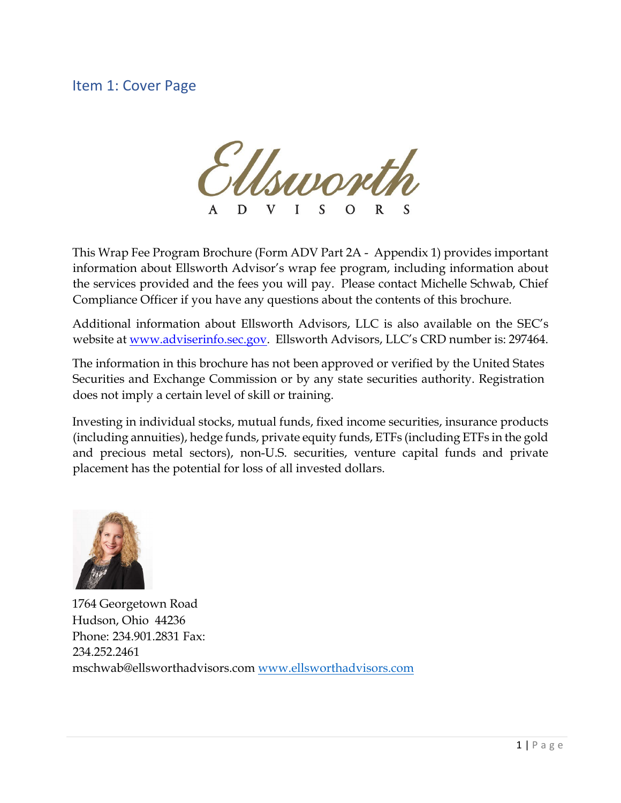# <span id="page-0-0"></span>Item 1: Cover Page

Msuront

This Wrap Fee Program Brochure (Form ADV Part 2A - Appendix 1) provides important information about Ellsworth Advisor's wrap fee program, including information about the services provided and the fees you will pay. Please contact Michelle Schwab, Chief Compliance Officer if you have any questions about the contents of this brochure.

Additional information about Ellsworth Advisors, LLC is also available on the SEC's website at www.adviserinfo.sec.gov. Ellsworth Advisors, LLC's CRD number is: 297464.

The information in this brochure has not been approved or verified by the United States Securities and Exchange Commission or by any state securities authority. Registration does not imply a certain level of skill or training.

Investing in individual stocks, mutual funds, fixed income securities, insurance products (including annuities), hedge funds, private equity funds, ETFs (including ETFs in the gold and precious metal sectors), non-U.S. securities, venture capital funds and private placement has the potential for loss of all invested dollars.



1764 Georgetown Road Hudson, Ohio 44236 Phone: 234.901.2831 Fax: 234.252.2461 mschwab@ellsworthadvisors.com [www.ellsworthadvisors.com](http://www.ellsworthadvisors.com/)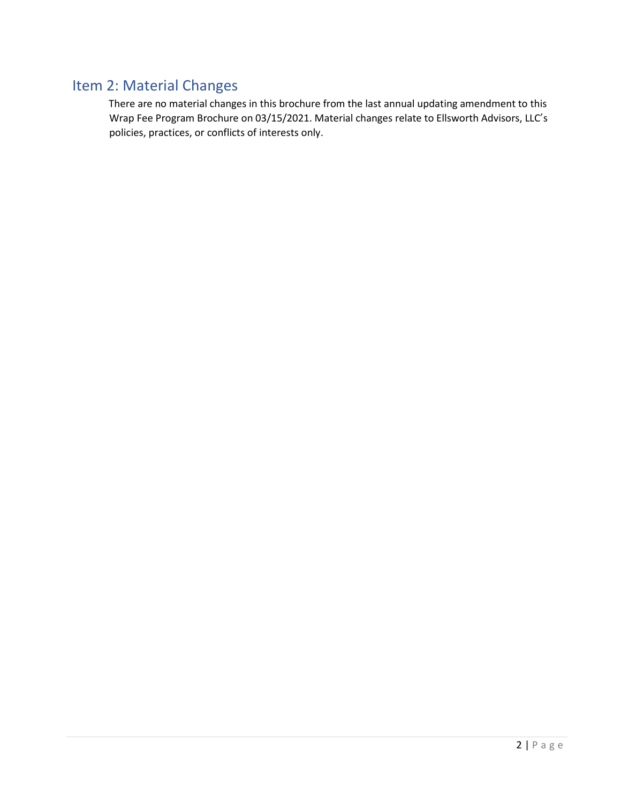# <span id="page-1-0"></span>Item 2: Material Changes

There are no material changes in this brochure from the last annual updating amendment to this Wrap Fee Program Brochure on 03/15/2021. Material changes relate to Ellsworth Advisors, LLC's policies, practices, or conflicts of interests only.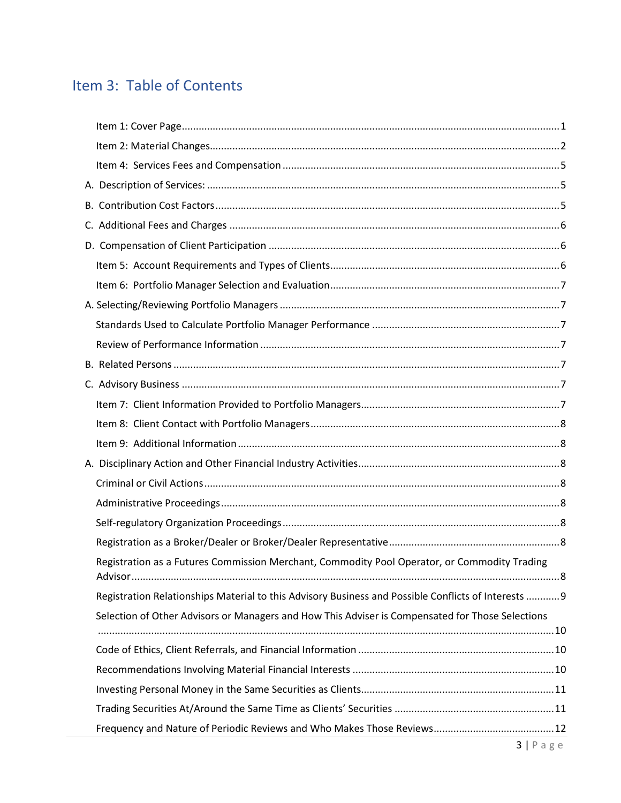# Item 3: Table of Contents

| Registration as a Futures Commission Merchant, Commodity Pool Operator, or Commodity Trading        |  |
|-----------------------------------------------------------------------------------------------------|--|
| Registration Relationships Material to this Advisory Business and Possible Conflicts of Interests 9 |  |
| Selection of Other Advisors or Managers and How This Adviser is Compensated for Those Selections    |  |
|                                                                                                     |  |
|                                                                                                     |  |
|                                                                                                     |  |
|                                                                                                     |  |
|                                                                                                     |  |
|                                                                                                     |  |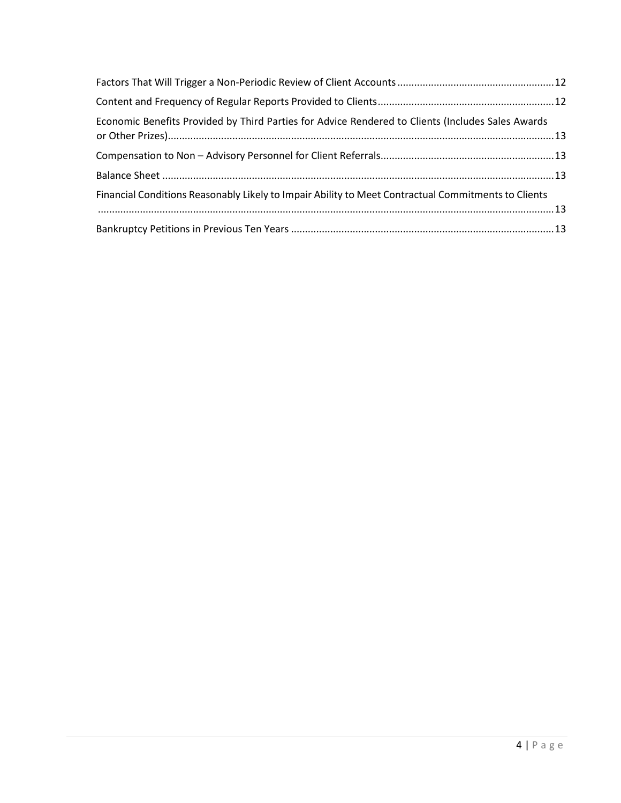| Economic Benefits Provided by Third Parties for Advice Rendered to Clients (Includes Sales Awards   |  |
|-----------------------------------------------------------------------------------------------------|--|
|                                                                                                     |  |
|                                                                                                     |  |
| Financial Conditions Reasonably Likely to Impair Ability to Meet Contractual Commitments to Clients |  |
|                                                                                                     |  |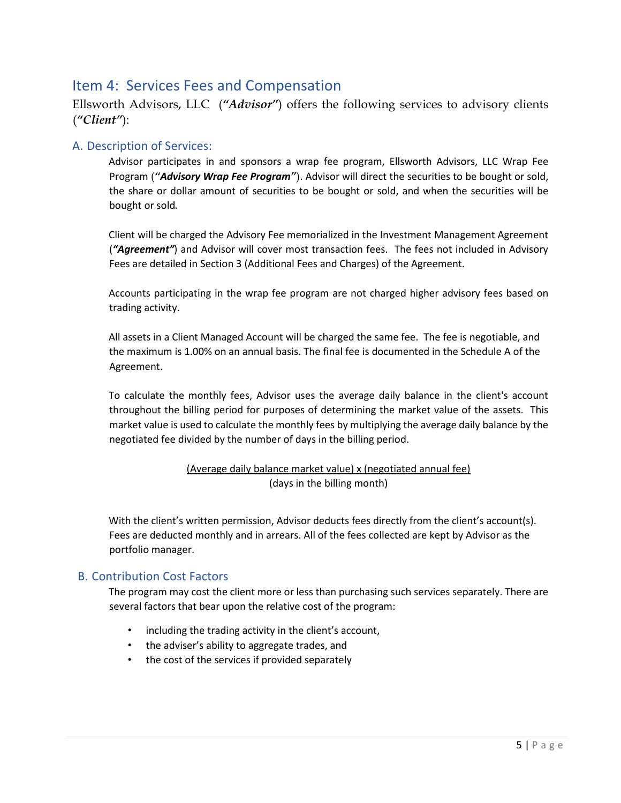# <span id="page-4-0"></span>Item 4: Services Fees and Compensation

Ellsworth Advisors, LLC (*"Advisor"*) offers the following services to advisory clients (*"Client"*):

### <span id="page-4-1"></span>A. Description of Services:

Advisor participates in and sponsors a wrap fee program, Ellsworth Advisors, LLC Wrap Fee Program (*"Advisory Wrap Fee Program"*). Advisor will direct the securities to be bought or sold, the share or dollar amount of securities to be bought or sold, and when the securities will be bought or sold*.* 

Client will be charged the Advisory Fee memorialized in the Investment Management Agreement (*"Agreement"*) and Advisor will cover most transaction fees. The fees not included in Advisory Fees are detailed in Section 3 (Additional Fees and Charges) of the Agreement.

Accounts participating in the wrap fee program are not charged higher advisory fees based on trading activity.

All assets in a Client Managed Account will be charged the same fee. The fee is negotiable, and the maximum is 1.00% on an annual basis. The final fee is documented in the Schedule A of the Agreement.

To calculate the monthly fees, Advisor uses the average daily balance in the client's account throughout the billing period for purposes of determining the market value of the assets. This market value is used to calculate the monthly fees by multiplying the average daily balance by the negotiated fee divided by the number of days in the billing period.

#### (Average daily balance market value) x (negotiated annual fee) (days in the billing month)

With the client's written permission, Advisor deducts fees directly from the client's account(s). Fees are deducted monthly and in arrears. All of the fees collected are kept by Advisor as the portfolio manager.

### <span id="page-4-2"></span>B. Contribution Cost Factors

The program may cost the client more or less than purchasing such services separately. There are several factors that bear upon the relative cost of the program:

- including the trading activity in the client's account,
- the adviser's ability to aggregate trades, and
- <span id="page-4-3"></span>• the cost of the services if provided separately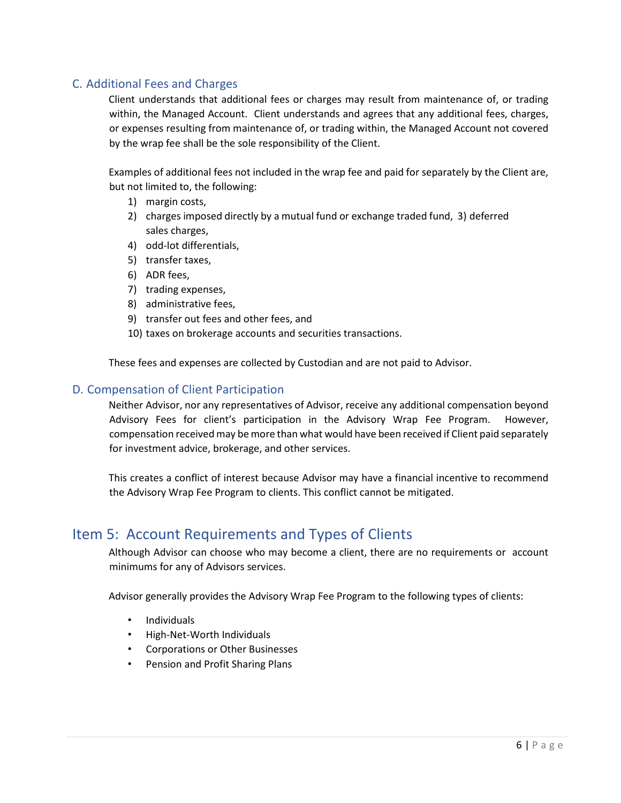## C. Additional Fees and Charges

Client understands that additional fees or charges may result from maintenance of, or trading within, the Managed Account. Client understands and agrees that any additional fees, charges, or expenses resulting from maintenance of, or trading within, the Managed Account not covered by the wrap fee shall be the sole responsibility of the Client.

Examples of additional fees not included in the wrap fee and paid for separately by the Client are, but not limited to, the following:

- 1) margin costs,
- 2) charges imposed directly by a mutual fund or exchange traded fund, 3) deferred sales charges,
- 4) odd-lot differentials,
- 5) transfer taxes,
- 6) ADR fees,
- 7) trading expenses,
- 8) administrative fees,
- 9) transfer out fees and other fees, and
- 10) taxes on brokerage accounts and securities transactions.

These fees and expenses are collected by Custodian and are not paid to Advisor.

#### <span id="page-5-0"></span>D. Compensation of Client Participation

Neither Advisor, nor any representatives of Advisor, receive any additional compensation beyond Advisory Fees for client's participation in the Advisory Wrap Fee Program. However, compensation received may be more than what would have been received if Client paid separately for investment advice, brokerage, and other services.

This creates a conflict of interest because Advisor may have a financial incentive to recommend the Advisory Wrap Fee Program to clients. This conflict cannot be mitigated.

## <span id="page-5-1"></span>Item 5: Account Requirements and Types of Clients

Although Advisor can choose who may become a client, there are no requirements or account minimums for any of Advisors services.

Advisor generally provides the Advisory Wrap Fee Program to the following types of clients:

- Individuals
- High-Net-Worth Individuals
- Corporations or Other Businesses
- Pension and Profit Sharing Plans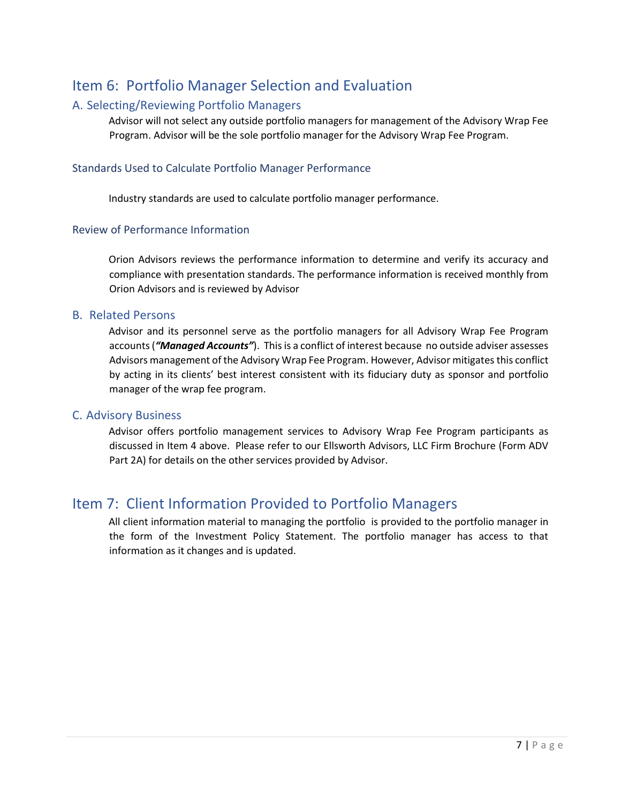# <span id="page-6-0"></span>Item 6: Portfolio Manager Selection and Evaluation

### <span id="page-6-1"></span>A. Selecting/Reviewing Portfolio Managers

Advisor will not select any outside portfolio managers for management of the Advisory Wrap Fee Program. Advisor will be the sole portfolio manager for the Advisory Wrap Fee Program.

#### <span id="page-6-2"></span>Standards Used to Calculate Portfolio Manager Performance

Industry standards are used to calculate portfolio manager performance.

#### <span id="page-6-3"></span>Review of Performance Information

Orion Advisors reviews the performance information to determine and verify its accuracy and compliance with presentation standards. The performance information is received monthly from Orion Advisors and is reviewed by Advisor

#### <span id="page-6-4"></span>B. Related Persons

Advisor and its personnel serve as the portfolio managers for all Advisory Wrap Fee Program accounts (*"Managed Accounts"*). This is a conflict of interest because no outside adviser assesses Advisors management of the Advisory Wrap Fee Program. However, Advisor mitigates this conflict by acting in its clients' best interest consistent with its fiduciary duty as sponsor and portfolio manager of the wrap fee program.

#### <span id="page-6-5"></span>C. Advisory Business

Advisor offers portfolio management services to Advisory Wrap Fee Program participants as discussed in Item 4 above. Please refer to our Ellsworth Advisors, LLC Firm Brochure (Form ADV Part 2A) for details on the other services provided by Advisor.

# <span id="page-6-6"></span>Item 7: Client Information Provided to Portfolio Managers

All client information material to managing the portfolio is provided to the portfolio manager in the form of the Investment Policy Statement. The portfolio manager has access to that information as it changes and is updated.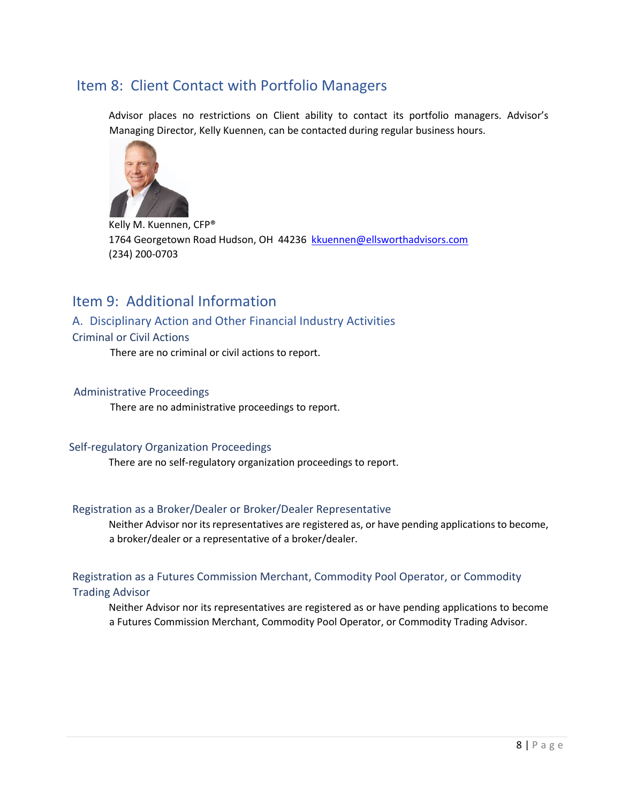# <span id="page-7-0"></span>Item 8: Client Contact with Portfolio Managers

Advisor places no restrictions on Client ability to contact its portfolio managers. Advisor's Managing Director, Kelly Kuennen, can be contacted during regular business hours.



Kelly M. Kuennen, CFP® 1764 Georgetown Road Hudson, OH 44236 kkuennen@ellsworthadvisors.com (234) 200-0703

# <span id="page-7-1"></span>Item 9: Additional Information

### <span id="page-7-2"></span>A. Disciplinary Action and Other Financial Industry Activities

#### <span id="page-7-3"></span>Criminal or Civil Actions

There are no criminal or civil actions to report.

#### <span id="page-7-4"></span>Administrative Proceedings

There are no administrative proceedings to report.

#### <span id="page-7-5"></span>Self-regulatory Organization Proceedings

There are no self-regulatory organization proceedings to report.

#### <span id="page-7-6"></span>Registration as a Broker/Dealer or Broker/Dealer Representative

Neither Advisor nor its representatives are registered as, or have pending applications to become, a broker/dealer or a representative of a broker/dealer.

#### <span id="page-7-7"></span>Registration as a Futures Commission Merchant, Commodity Pool Operator, or Commodity

#### <span id="page-7-8"></span>Trading Advisor

Neither Advisor nor its representatives are registered as or have pending applications to become a Futures Commission Merchant, Commodity Pool Operator, or Commodity Trading Advisor.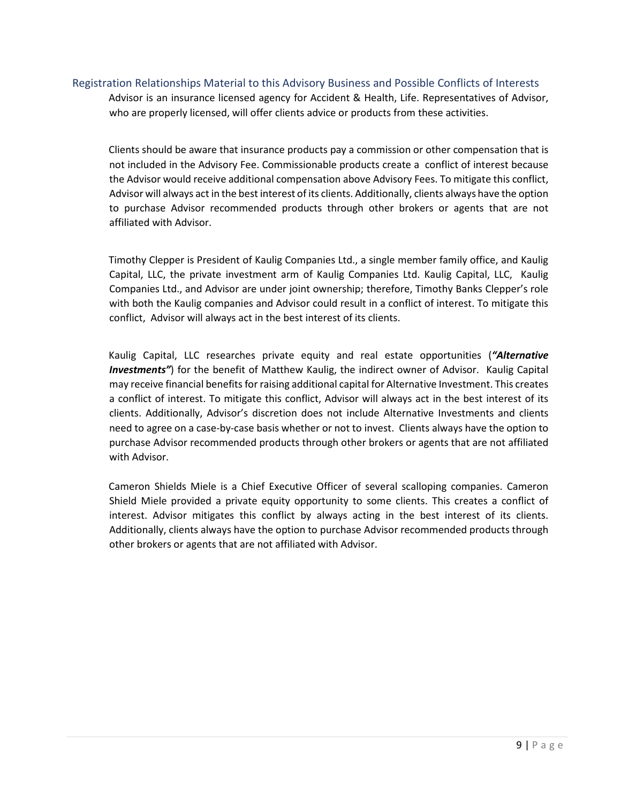#### Registration Relationships Material to this Advisory Business and Possible Conflicts of Interests

Advisor is an insurance licensed agency for Accident & Health, Life. Representatives of Advisor, who are properly licensed, will offer clients advice or products from these activities.

Clients should be aware that insurance products pay a commission or other compensation that is not included in the Advisory Fee. Commissionable products create a conflict of interest because the Advisor would receive additional compensation above Advisory Fees. To mitigate this conflict, Advisor will always act in the best interest of its clients. Additionally, clients always have the option to purchase Advisor recommended products through other brokers or agents that are not affiliated with Advisor.

Timothy Clepper is President of Kaulig Companies Ltd., a single member family office, and Kaulig Capital, LLC, the private investment arm of Kaulig Companies Ltd. Kaulig Capital, LLC, Kaulig Companies Ltd., and Advisor are under joint ownership; therefore, Timothy Banks Clepper's role with both the Kaulig companies and Advisor could result in a conflict of interest. To mitigate this conflict, Advisor will always act in the best interest of its clients.

Kaulig Capital, LLC researches private equity and real estate opportunities (*"Alternative Investments"*) for the benefit of Matthew Kaulig, the indirect owner of Advisor. Kaulig Capital may receive financial benefits for raising additional capital for Alternative Investment. This creates a conflict of interest. To mitigate this conflict, Advisor will always act in the best interest of its clients. Additionally, Advisor's discretion does not include Alternative Investments and clients need to agree on a case-by-case basis whether or not to invest. Clients always have the option to purchase Advisor recommended products through other brokers or agents that are not affiliated with Advisor.

<span id="page-8-0"></span>Cameron Shields Miele is a Chief Executive Officer of several scalloping companies. Cameron Shield Miele provided a private equity opportunity to some clients. This creates a conflict of interest. Advisor mitigates this conflict by always acting in the best interest of its clients. Additionally, clients always have the option to purchase Advisor recommended products through other brokers or agents that are not affiliated with Advisor.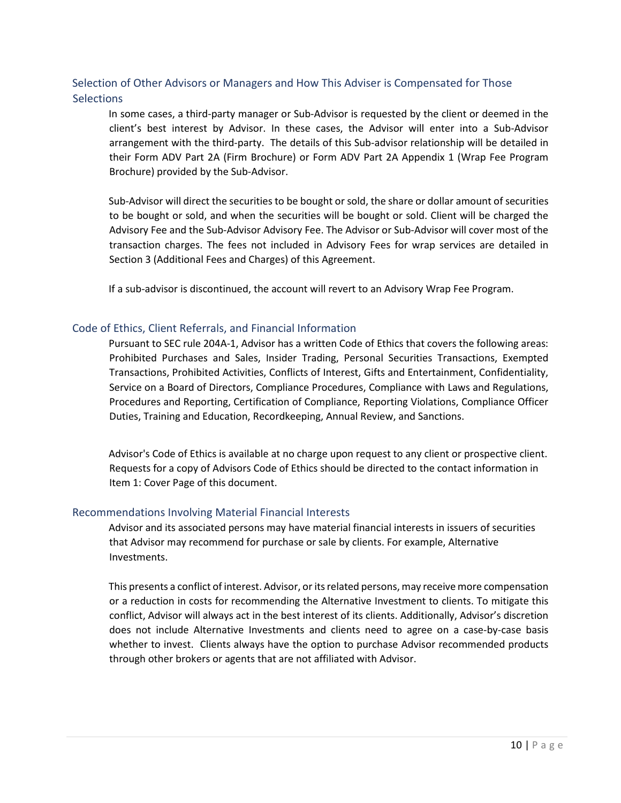## Selection of Other Advisors or Managers and How This Adviser is Compensated for Those **Selections**

In some cases, a third-party manager or Sub-Advisor is requested by the client or deemed in the client's best interest by Advisor. In these cases, the Advisor will enter into a Sub-Advisor arrangement with the third-party. The details of this Sub-advisor relationship will be detailed in their Form ADV Part 2A (Firm Brochure) or Form ADV Part 2A Appendix 1 (Wrap Fee Program Brochure) provided by the Sub-Advisor.

Sub-Advisor will direct the securities to be bought or sold, the share or dollar amount of securities to be bought or sold, and when the securities will be bought or sold. Client will be charged the Advisory Fee and the Sub-Advisor Advisory Fee. The Advisor or Sub-Advisor will cover most of the transaction charges. The fees not included in Advisory Fees for wrap services are detailed in Section 3 (Additional Fees and Charges) of this Agreement.

If a sub-advisor is discontinued, the account will revert to an Advisory Wrap Fee Program.

#### <span id="page-9-0"></span>Code of Ethics, Client Referrals, and Financial Information

Pursuant to SEC rule 204A-1, Advisor has a written Code of Ethics that covers the following areas: Prohibited Purchases and Sales, Insider Trading, Personal Securities Transactions, Exempted Transactions, Prohibited Activities, Conflicts of Interest, Gifts and Entertainment, Confidentiality, Service on a Board of Directors, Compliance Procedures, Compliance with Laws and Regulations, Procedures and Reporting, Certification of Compliance, Reporting Violations, Compliance Officer Duties, Training and Education, Recordkeeping, Annual Review, and Sanctions.

Advisor's Code of Ethics is available at no charge upon request to any client or prospective client. Requests for a copy of Advisors Code of Ethics should be directed to the contact information in Item 1: Cover Page of this document.

#### <span id="page-9-1"></span>Recommendations Involving Material Financial Interests

Advisor and its associated persons may have material financial interests in issuers of securities that Advisor may recommend for purchase or sale by clients. For example, Alternative Investments.

<span id="page-9-2"></span>This presents a conflict of interest. Advisor, or its related persons, may receive more compensation or a reduction in costs for recommending the Alternative Investment to clients. To mitigate this conflict, Advisor will always act in the best interest of its clients. Additionally, Advisor's discretion does not include Alternative Investments and clients need to agree on a case-by-case basis whether to invest. Clients always have the option to purchase Advisor recommended products through other brokers or agents that are not affiliated with Advisor.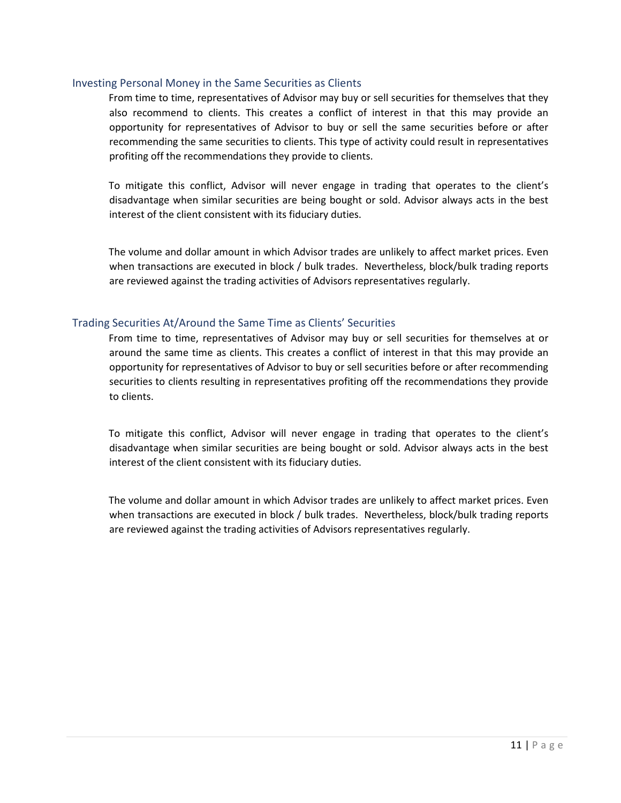#### Investing Personal Money in the Same Securities as Clients

From time to time, representatives of Advisor may buy or sell securities for themselves that they also recommend to clients. This creates a conflict of interest in that this may provide an opportunity for representatives of Advisor to buy or sell the same securities before or after recommending the same securities to clients. This type of activity could result in representatives profiting off the recommendations they provide to clients.

To mitigate this conflict, Advisor will never engage in trading that operates to the client's disadvantage when similar securities are being bought or sold. Advisor always acts in the best interest of the client consistent with its fiduciary duties.

The volume and dollar amount in which Advisor trades are unlikely to affect market prices. Even when transactions are executed in block / bulk trades. Nevertheless, block/bulk trading reports are reviewed against the trading activities of Advisors representatives regularly.

#### <span id="page-10-0"></span>Trading Securities At/Around the Same Time as Clients' Securities

From time to time, representatives of Advisor may buy or sell securities for themselves at or around the same time as clients. This creates a conflict of interest in that this may provide an opportunity for representatives of Advisor to buy or sell securities before or after recommending securities to clients resulting in representatives profiting off the recommendations they provide to clients.

To mitigate this conflict, Advisor will never engage in trading that operates to the client's disadvantage when similar securities are being bought or sold. Advisor always acts in the best interest of the client consistent with its fiduciary duties.

<span id="page-10-1"></span>The volume and dollar amount in which Advisor trades are unlikely to affect market prices. Even when transactions are executed in block / bulk trades. Nevertheless, block/bulk trading reports are reviewed against the trading activities of Advisors representatives regularly.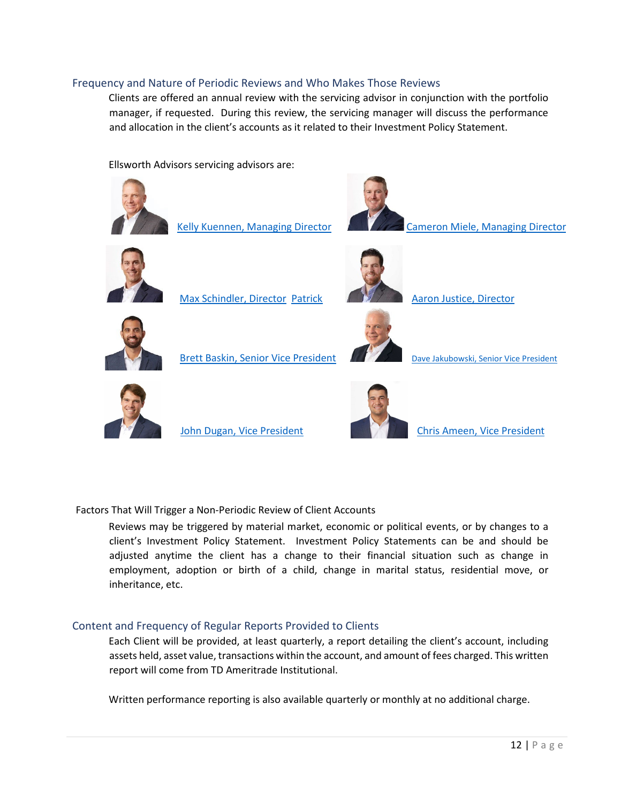#### Frequency and Nature of Periodic Reviews and Who Makes Those Reviews

Clients are offered an annual review with the servicing advisor in conjunction with the portfolio manager, if requested. During this review, the servicing manager will discuss the performance and allocation in the client's accounts as it related to their Investment Policy Statement.

Ellsworth Advisors servicing advisors are:



<span id="page-11-0"></span>Factors That Will Trigger a Non-Periodic Review of Client Accounts

Reviews may be triggered by material market, economic or political events, or by changes to a client's Investment Policy Statement. Investment Policy Statements can be and should be adjusted anytime the client has a change to their financial situation such as change in employment, adoption or birth of a child, change in marital status, residential move, or inheritance, etc.

#### <span id="page-11-1"></span>Content and Frequency of Regular Reports Provided to Clients

Each Client will be provided, at least quarterly, a report detailing the client's account, including assets held, asset value, transactions within the account, and amount of fees charged. This written report will come from TD Ameritrade Institutional.

Written performance reporting is also available quarterly or monthly at no additional charge.